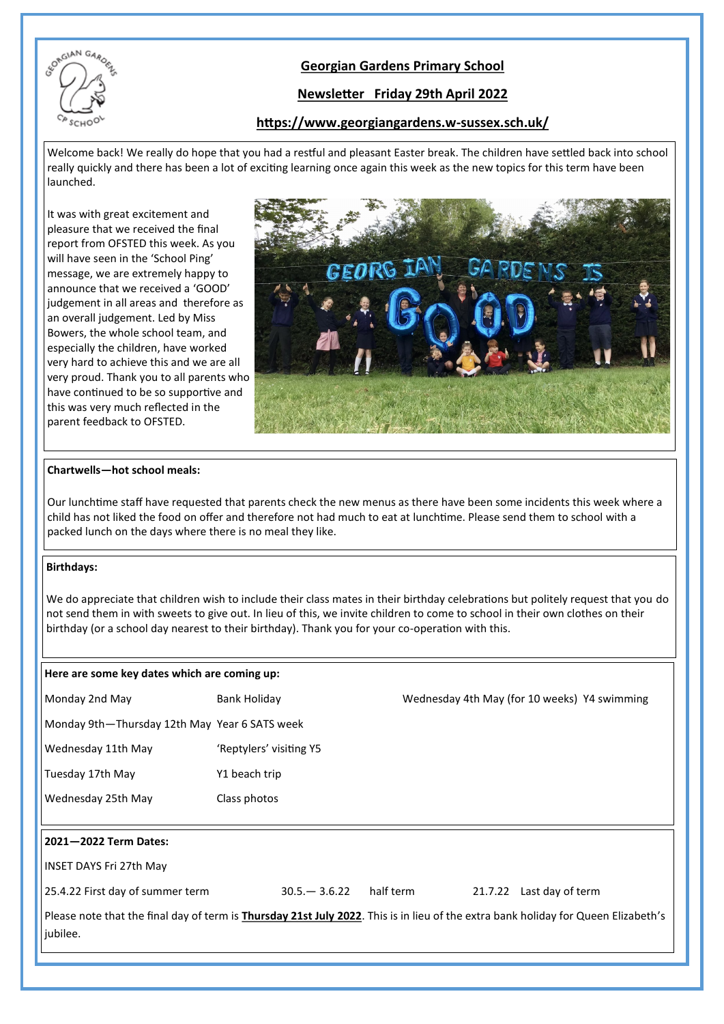

## **Georgian Gardens Primary School**

## **Newsletter Friday 29th April 2022**

### **https://www.georgiangardens.w-sussex.sch.uk/**

Welcome back! We really do hope that you had a restful and pleasant Easter break. The children have settled back into school really quickly and there has been a lot of exciting learning once again this week as the new topics for this term have been launched.

It was with great excitement and pleasure that we received the final report from OFSTED this week. As you will have seen in the 'School Ping' message, we are extremely happy to announce that we received a 'GOOD' judgement in all areas and therefore as an overall judgement. Led by Miss Bowers, the whole school team, and especially the children, have worked very hard to achieve this and we are all very proud. Thank you to all parents who have continued to be so supportive and this was very much reflected in the parent feedback to OFSTED.



### **Chartwells—hot school meals:**

Our lunchtime staff have requested that parents check the new menus as there have been some incidents this week where a child has not liked the food on offer and therefore not had much to eat at lunchtime. Please send them to school with a packed lunch on the days where there is no meal they like.

### **Birthdays:**

We do appreciate that children wish to include their class mates in their birthday celebrations but politely request that you do not send them in with sweets to give out. In lieu of this, we invite children to come to school in their own clothes on their birthday (or a school day nearest to their birthday). Thank you for your co-operation with this.

| Here are some key dates which are coming up:  |                         |           |                                                                                                                                            |
|-----------------------------------------------|-------------------------|-----------|--------------------------------------------------------------------------------------------------------------------------------------------|
| Monday 2nd May                                | Bank Holiday            |           | Wednesday 4th May (for 10 weeks) Y4 swimming                                                                                               |
| Monday 9th-Thursday 12th May Year 6 SATS week |                         |           |                                                                                                                                            |
| Wednesday 11th May                            | 'Reptylers' visiting Y5 |           |                                                                                                                                            |
| Tuesday 17th May                              | Y1 beach trip           |           |                                                                                                                                            |
| Wednesday 25th May                            | Class photos            |           |                                                                                                                                            |
|                                               |                         |           |                                                                                                                                            |
| 2021-2022 Term Dates:                         |                         |           |                                                                                                                                            |
| <b>INSET DAYS Fri 27th May</b>                |                         |           |                                                                                                                                            |
| 25.4.22 First day of summer term              | $30.5 - 3.6.22$         | half term | Last day of term<br>21.7.22                                                                                                                |
| jubilee.                                      |                         |           | Please note that the final day of term is <b>Thursday 21st July 2022</b> . This is in lieu of the extra bank holiday for Queen Elizabeth's |